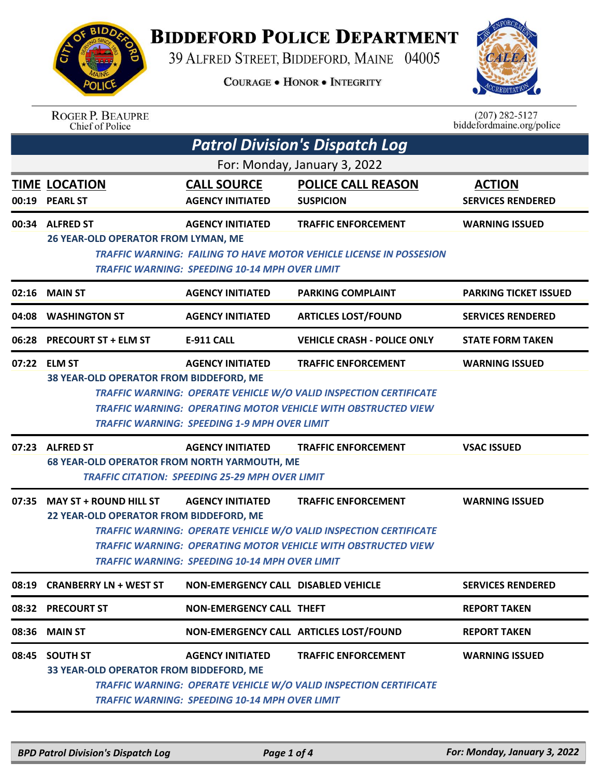

## **BIDDEFORD POLICE DEPARTMENT**

39 ALFRED STREET, BIDDEFORD, MAINE 04005

**COURAGE . HONOR . INTEGRITY** 



| <b>ROGER P. BEAUPRE</b> |
|-------------------------|
| Chief of Police         |

 $(207)$  282-5127 biddefordmaine.org/police

|                              | <b>Patrol Division's Dispatch Log</b>                                   |                                                                                   |                                                                                                                                                                         |                                           |  |  |
|------------------------------|-------------------------------------------------------------------------|-----------------------------------------------------------------------------------|-------------------------------------------------------------------------------------------------------------------------------------------------------------------------|-------------------------------------------|--|--|
| For: Monday, January 3, 2022 |                                                                         |                                                                                   |                                                                                                                                                                         |                                           |  |  |
|                              | <b>TIME LOCATION</b><br>00:19 PEARL ST                                  | <b>CALL SOURCE</b><br><b>AGENCY INITIATED</b>                                     | <b>POLICE CALL REASON</b><br><b>SUSPICION</b>                                                                                                                           | <b>ACTION</b><br><b>SERVICES RENDERED</b> |  |  |
|                              | 00:34 ALFRED ST<br>26 YEAR-OLD OPERATOR FROM LYMAN, ME                  | <b>AGENCY INITIATED</b><br>TRAFFIC WARNING: SPEEDING 10-14 MPH OVER LIMIT         | <b>TRAFFIC ENFORCEMENT</b><br><b>TRAFFIC WARNING: FAILING TO HAVE MOTOR VEHICLE LICENSE IN POSSESION</b>                                                                | <b>WARNING ISSUED</b>                     |  |  |
|                              | 02:16 MAIN ST                                                           | <b>AGENCY INITIATED</b>                                                           | <b>PARKING COMPLAINT</b>                                                                                                                                                | <b>PARKING TICKET ISSUED</b>              |  |  |
| 04:08                        | <b>WASHINGTON ST</b>                                                    | <b>AGENCY INITIATED</b>                                                           | <b>ARTICLES LOST/FOUND</b>                                                                                                                                              | <b>SERVICES RENDERED</b>                  |  |  |
|                              | 06:28 PRECOURT ST + ELM ST                                              | <b>E-911 CALL</b>                                                                 | <b>VEHICLE CRASH - POLICE ONLY</b>                                                                                                                                      | <b>STATE FORM TAKEN</b>                   |  |  |
|                              | 07:22 ELM ST<br>38 YEAR-OLD OPERATOR FROM BIDDEFORD, ME                 | <b>AGENCY INITIATED</b><br>TRAFFIC WARNING: SPEEDING 1-9 MPH OVER LIMIT           | <b>TRAFFIC ENFORCEMENT</b><br>TRAFFIC WARNING: OPERATE VEHICLE W/O VALID INSPECTION CERTIFICATE<br><b>TRAFFIC WARNING: OPERATING MOTOR VEHICLE WITH OBSTRUCTED VIEW</b> | <b>WARNING ISSUED</b>                     |  |  |
|                              | 07:23 ALFRED ST<br><b>68 YEAR-OLD OPERATOR FROM NORTH YARMOUTH, ME</b>  | <b>AGENCY INITIATED</b><br><b>TRAFFIC CITATION: SPEEDING 25-29 MPH OVER LIMIT</b> | <b>TRAFFIC ENFORCEMENT</b>                                                                                                                                              | <b>VSAC ISSUED</b>                        |  |  |
|                              | 07:35 MAY ST + ROUND HILL ST<br>22 YEAR-OLD OPERATOR FROM BIDDEFORD, ME | <b>AGENCY INITIATED</b><br><b>TRAFFIC WARNING: SPEEDING 10-14 MPH OVER LIMIT</b>  | <b>TRAFFIC ENFORCEMENT</b><br>TRAFFIC WARNING: OPERATE VEHICLE W/O VALID INSPECTION CERTIFICATE<br>TRAFFIC WARNING: OPERATING MOTOR VEHICLE WITH OBSTRUCTED VIEW        | <b>WARNING ISSUED</b>                     |  |  |
|                              | 08:19 CRANBERRY LN + WEST ST                                            | NON-EMERGENCY CALL DISABLED VEHICLE                                               |                                                                                                                                                                         | <b>SERVICES RENDERED</b>                  |  |  |
|                              | 08:32 PRECOURT ST                                                       | <b>NON-EMERGENCY CALL THEFT</b>                                                   |                                                                                                                                                                         | <b>REPORT TAKEN</b>                       |  |  |
| 08:36                        | <b>MAIN ST</b>                                                          |                                                                                   | NON-EMERGENCY CALL ARTICLES LOST/FOUND                                                                                                                                  | <b>REPORT TAKEN</b>                       |  |  |
| 08:45                        | <b>SOUTH ST</b><br>33 YEAR-OLD OPERATOR FROM BIDDEFORD, ME              | <b>AGENCY INITIATED</b><br><b>TRAFFIC WARNING: SPEEDING 10-14 MPH OVER LIMIT</b>  | <b>TRAFFIC ENFORCEMENT</b><br>TRAFFIC WARNING: OPERATE VEHICLE W/O VALID INSPECTION CERTIFICATE                                                                         | <b>WARNING ISSUED</b>                     |  |  |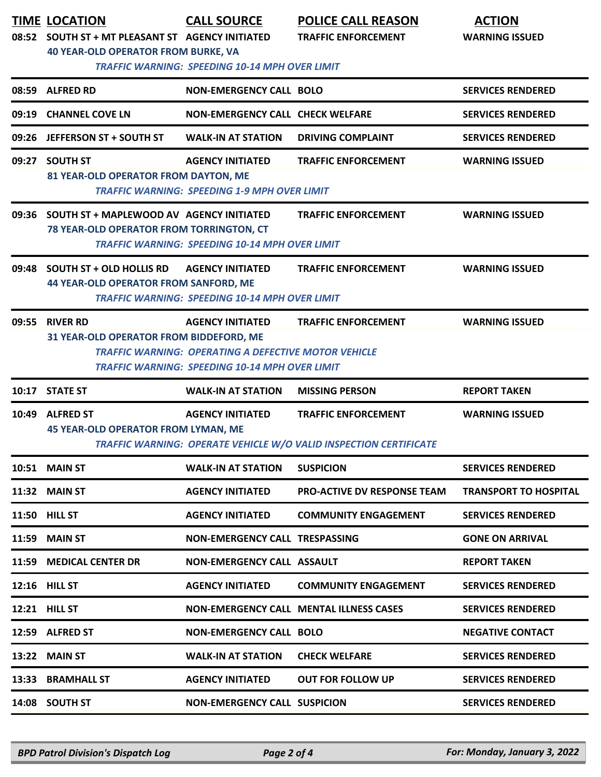|       | <b>TIME LOCATION</b><br>08:52 SOUTH ST + MT PLEASANT ST AGENCY INITIATED<br><b>40 YEAR-OLD OPERATOR FROM BURKE, VA</b> | <b>CALL SOURCE</b><br><b>TRAFFIC WARNING: SPEEDING 10-14 MPH OVER LIMIT</b>                                                                     | <b>POLICE CALL REASON</b><br><b>TRAFFIC ENFORCEMENT</b>                                         | <b>ACTION</b><br><b>WARNING ISSUED</b> |
|-------|------------------------------------------------------------------------------------------------------------------------|-------------------------------------------------------------------------------------------------------------------------------------------------|-------------------------------------------------------------------------------------------------|----------------------------------------|
|       | 08:59 ALFRED RD                                                                                                        | <b>NON-EMERGENCY CALL BOLO</b>                                                                                                                  |                                                                                                 | <b>SERVICES RENDERED</b>               |
|       | 09:19 CHANNEL COVE LN                                                                                                  | <b>NON-EMERGENCY CALL CHECK WELFARE</b>                                                                                                         |                                                                                                 | <b>SERVICES RENDERED</b>               |
|       | 09:26 JEFFERSON ST + SOUTH ST                                                                                          | <b>WALK-IN AT STATION</b>                                                                                                                       | <b>DRIVING COMPLAINT</b>                                                                        | <b>SERVICES RENDERED</b>               |
| 09:27 | <b>SOUTH ST</b><br>81 YEAR-OLD OPERATOR FROM DAYTON, ME                                                                | <b>AGENCY INITIATED</b><br><b>TRAFFIC WARNING: SPEEDING 1-9 MPH OVER LIMIT</b>                                                                  | <b>TRAFFIC ENFORCEMENT</b>                                                                      | <b>WARNING ISSUED</b>                  |
|       | 09:36 SOUTH ST + MAPLEWOOD AV AGENCY INITIATED<br>78 YEAR-OLD OPERATOR FROM TORRINGTON, CT                             | <b>TRAFFIC WARNING: SPEEDING 10-14 MPH OVER LIMIT</b>                                                                                           | <b>TRAFFIC ENFORCEMENT</b>                                                                      | <b>WARNING ISSUED</b>                  |
| 09:48 | <b>SOUTH ST + OLD HOLLIS RD</b><br><b>44 YEAR-OLD OPERATOR FROM SANFORD, ME</b>                                        | <b>AGENCY INITIATED</b><br><b>TRAFFIC WARNING: SPEEDING 10-14 MPH OVER LIMIT</b>                                                                | <b>TRAFFIC ENFORCEMENT</b>                                                                      | <b>WARNING ISSUED</b>                  |
| 09:55 | <b>RIVER RD</b><br>31 YEAR-OLD OPERATOR FROM BIDDEFORD, ME                                                             | <b>AGENCY INITIATED</b><br><b>TRAFFIC WARNING: OPERATING A DEFECTIVE MOTOR VEHICLE</b><br><b>TRAFFIC WARNING: SPEEDING 10-14 MPH OVER LIMIT</b> | <b>TRAFFIC ENFORCEMENT</b>                                                                      | <b>WARNING ISSUED</b>                  |
|       | 10:17 STATE ST                                                                                                         | <b>WALK-IN AT STATION</b>                                                                                                                       | <b>MISSING PERSON</b>                                                                           | <b>REPORT TAKEN</b>                    |
|       | 10:49 ALFRED ST<br><b>45 YEAR-OLD OPERATOR FROM LYMAN, ME</b>                                                          | <b>AGENCY INITIATED</b>                                                                                                                         | <b>TRAFFIC ENFORCEMENT</b><br>TRAFFIC WARNING: OPERATE VEHICLE W/O VALID INSPECTION CERTIFICATE | <b>WARNING ISSUED</b>                  |
|       | 10:51 MAIN ST                                                                                                          | <b>WALK-IN AT STATION</b>                                                                                                                       | <b>SUSPICION</b>                                                                                | <b>SERVICES RENDERED</b>               |
|       | 11:32 MAIN ST                                                                                                          | <b>AGENCY INITIATED</b>                                                                                                                         | <b>PRO-ACTIVE DV RESPONSE TEAM</b>                                                              | <b>TRANSPORT TO HOSPITAL</b>           |
|       | 11:50 HILL ST                                                                                                          | <b>AGENCY INITIATED</b>                                                                                                                         | <b>COMMUNITY ENGAGEMENT</b>                                                                     | <b>SERVICES RENDERED</b>               |
|       | <b>11:59 MAIN ST</b>                                                                                                   | <b>NON-EMERGENCY CALL TRESPASSING</b>                                                                                                           |                                                                                                 | <b>GONE ON ARRIVAL</b>                 |
|       | 11:59 MEDICAL CENTER DR                                                                                                | NON-EMERGENCY CALL ASSAULT                                                                                                                      |                                                                                                 | <b>REPORT TAKEN</b>                    |
|       | 12:16 HILL ST                                                                                                          | <b>AGENCY INITIATED</b>                                                                                                                         | <b>COMMUNITY ENGAGEMENT</b>                                                                     | <b>SERVICES RENDERED</b>               |
|       | <b>12:21 HILL ST</b>                                                                                                   |                                                                                                                                                 | <b>NON-EMERGENCY CALL MENTAL ILLNESS CASES</b>                                                  | <b>SERVICES RENDERED</b>               |
|       | 12:59 ALFRED ST                                                                                                        | <b>NON-EMERGENCY CALL BOLO</b>                                                                                                                  |                                                                                                 | <b>NEGATIVE CONTACT</b>                |
|       | 13:22 MAIN ST                                                                                                          | <b>WALK-IN AT STATION</b>                                                                                                                       | <b>CHECK WELFARE</b>                                                                            | <b>SERVICES RENDERED</b>               |
|       | 13:33 BRAMHALL ST                                                                                                      | <b>AGENCY INITIATED</b>                                                                                                                         | <b>OUT FOR FOLLOW UP</b>                                                                        | <b>SERVICES RENDERED</b>               |
|       | 14:08 SOUTH ST                                                                                                         | <b>NON-EMERGENCY CALL SUSPICION</b>                                                                                                             |                                                                                                 | <b>SERVICES RENDERED</b>               |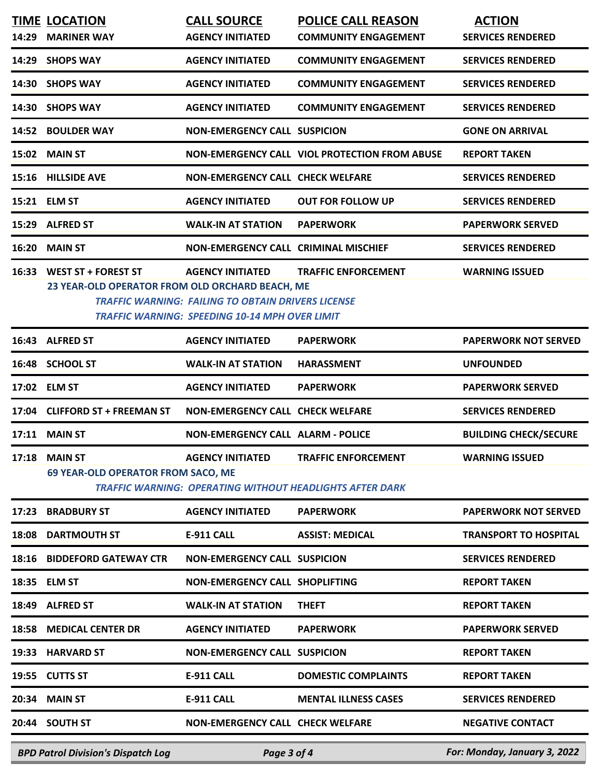| 14:29 | <b>TIME LOCATION</b><br><b>MARINER WAY</b>                             | <b>CALL SOURCE</b><br><b>AGENCY INITIATED</b>                                                                                          | <b>POLICE CALL REASON</b><br><b>COMMUNITY ENGAGEMENT</b>                                      | <b>ACTION</b><br><b>SERVICES RENDERED</b> |
|-------|------------------------------------------------------------------------|----------------------------------------------------------------------------------------------------------------------------------------|-----------------------------------------------------------------------------------------------|-------------------------------------------|
|       | 14:29 SHOPS WAY                                                        | <b>AGENCY INITIATED</b>                                                                                                                | <b>COMMUNITY ENGAGEMENT</b>                                                                   | <b>SERVICES RENDERED</b>                  |
|       | 14:30 SHOPS WAY                                                        | <b>AGENCY INITIATED</b>                                                                                                                | <b>COMMUNITY ENGAGEMENT</b>                                                                   | <b>SERVICES RENDERED</b>                  |
|       | 14:30 SHOPS WAY                                                        | <b>AGENCY INITIATED</b>                                                                                                                | <b>COMMUNITY ENGAGEMENT</b>                                                                   | <b>SERVICES RENDERED</b>                  |
| 14:52 | <b>BOULDER WAY</b>                                                     | <b>NON-EMERGENCY CALL SUSPICION</b>                                                                                                    |                                                                                               | <b>GONE ON ARRIVAL</b>                    |
|       | 15:02 MAIN ST                                                          |                                                                                                                                        | NON-EMERGENCY CALL VIOL PROTECTION FROM ABUSE                                                 | <b>REPORT TAKEN</b>                       |
|       | 15:16 HILLSIDE AVE                                                     | <b>NON-EMERGENCY CALL CHECK WELFARE</b>                                                                                                |                                                                                               | <b>SERVICES RENDERED</b>                  |
|       | 15:21 ELM ST                                                           | <b>AGENCY INITIATED</b>                                                                                                                | <b>OUT FOR FOLLOW UP</b>                                                                      | <b>SERVICES RENDERED</b>                  |
| 15:29 | <b>ALFRED ST</b>                                                       | <b>WALK-IN AT STATION</b>                                                                                                              | <b>PAPERWORK</b>                                                                              | <b>PAPERWORK SERVED</b>                   |
| 16:20 | <b>MAIN ST</b>                                                         | <b>NON-EMERGENCY CALL CRIMINAL MISCHIEF</b>                                                                                            |                                                                                               | <b>SERVICES RENDERED</b>                  |
| 16:33 | WEST ST + FOREST ST<br>23 YEAR-OLD OPERATOR FROM OLD ORCHARD BEACH, ME | <b>AGENCY INITIATED</b><br><b>TRAFFIC WARNING: FAILING TO OBTAIN DRIVERS LICENSE</b><br>TRAFFIC WARNING: SPEEDING 10-14 MPH OVER LIMIT | <b>TRAFFIC ENFORCEMENT</b>                                                                    | <b>WARNING ISSUED</b>                     |
|       | 16:43 ALFRED ST                                                        | <b>AGENCY INITIATED</b>                                                                                                                | <b>PAPERWORK</b>                                                                              | <b>PAPERWORK NOT SERVED</b>               |
| 16:48 | <b>SCHOOL ST</b>                                                       | <b>WALK-IN AT STATION</b>                                                                                                              | <b>HARASSMENT</b>                                                                             | <b>UNFOUNDED</b>                          |
|       | 17:02 ELM ST                                                           | <b>AGENCY INITIATED</b>                                                                                                                | <b>PAPERWORK</b>                                                                              | <b>PAPERWORK SERVED</b>                   |
| 17:04 | <b>CLIFFORD ST + FREEMAN ST</b>                                        | <b>NON-EMERGENCY CALL CHECK WELFARE</b>                                                                                                |                                                                                               | <b>SERVICES RENDERED</b>                  |
| 17:11 | <b>MAIN ST</b>                                                         | <b>NON-EMERGENCY CALL ALARM - POLICE</b>                                                                                               |                                                                                               | <b>BUILDING CHECK/SECURE</b>              |
| 17:18 | <b>MAIN ST</b><br>69 YEAR-OLD OPERATOR FROM SACO, ME                   | <b>AGENCY INITIATED</b>                                                                                                                | <b>TRAFFIC ENFORCEMENT</b><br><b>TRAFFIC WARNING: OPERATING WITHOUT HEADLIGHTS AFTER DARK</b> | <b>WARNING ISSUED</b>                     |
| 17:23 | <b>BRADBURY ST</b>                                                     | <b>AGENCY INITIATED</b>                                                                                                                | <b>PAPERWORK</b>                                                                              | <b>PAPERWORK NOT SERVED</b>               |
|       | <b>18:08 DARTMOUTH ST</b>                                              | <b>E-911 CALL</b>                                                                                                                      | <b>ASSIST: MEDICAL</b>                                                                        | <b>TRANSPORT TO HOSPITAL</b>              |
|       | <b>18:16 BIDDEFORD GATEWAY CTR</b>                                     | <b>NON-EMERGENCY CALL SUSPICION</b>                                                                                                    |                                                                                               | <b>SERVICES RENDERED</b>                  |
|       | 18:35 ELM ST                                                           | NON-EMERGENCY CALL SHOPLIFTING                                                                                                         |                                                                                               | <b>REPORT TAKEN</b>                       |
|       | 18:49 ALFRED ST                                                        | <b>WALK-IN AT STATION</b>                                                                                                              | <b>THEFT</b>                                                                                  | <b>REPORT TAKEN</b>                       |
| 18:58 | <b>MEDICAL CENTER DR</b>                                               | <b>AGENCY INITIATED</b>                                                                                                                | <b>PAPERWORK</b>                                                                              | <b>PAPERWORK SERVED</b>                   |
| 19:33 | <b>HARVARD ST</b>                                                      | <b>NON-EMERGENCY CALL SUSPICION</b>                                                                                                    |                                                                                               | <b>REPORT TAKEN</b>                       |
| 19:55 | <b>CUTTS ST</b>                                                        | <b>E-911 CALL</b>                                                                                                                      | <b>DOMESTIC COMPLAINTS</b>                                                                    | <b>REPORT TAKEN</b>                       |
| 20:34 | <b>MAIN ST</b>                                                         | <b>E-911 CALL</b>                                                                                                                      | <b>MENTAL ILLNESS CASES</b>                                                                   | <b>SERVICES RENDERED</b>                  |
|       | 20:44 SOUTH ST                                                         | <b>NON-EMERGENCY CALL CHECK WELFARE</b>                                                                                                |                                                                                               | <b>NEGATIVE CONTACT</b>                   |
|       |                                                                        |                                                                                                                                        |                                                                                               |                                           |

*BPD Patrol Division's Dispatch Log Page 3 of 4 For: Monday, January 3, 2022*